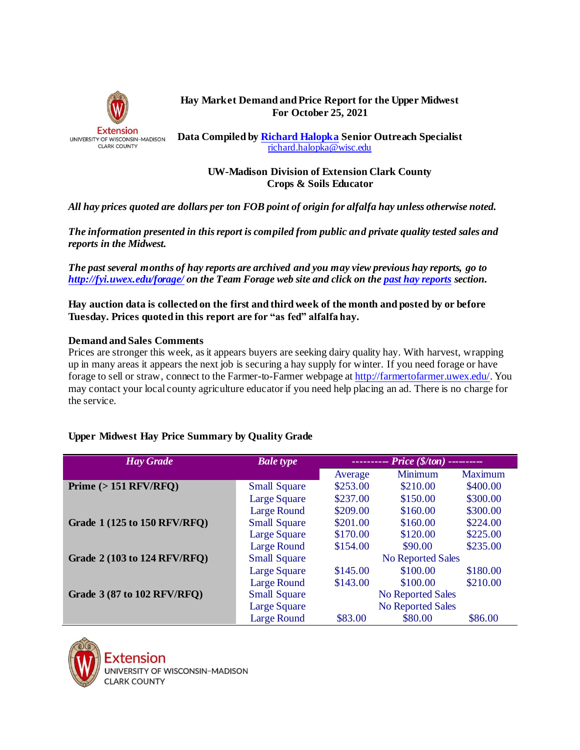

## **Hay Market Demand and Price Report for the Upper Midwest For October 25, 2021**

**Data Compiled by [Richard Halopka](mailto:richard.halopka@ces.uwex.edu) Senior Outreach Specialist** [richard.halopka@wisc.edu](mailto:richard.halopka@wisc.edu)

## **UW-Madison Division of Extension Clark County Crops & Soils Educator**

*All hay prices quoted are dollars per ton FOB point of origin for alfalfa hay unless otherwise noted.*

*The information presented in this report is compiled from public and private quality tested sales and reports in the Midwest.*

*The past several months of hay reports are archived and you may view previous hay reports, go to <http://fyi.uwex.edu/forage/> on the Team Forage web site and click on th[e past hay reports](http://fyi.uwex.edu/forage/h-m-r/) section.* 

**Hay auction data is collected on the first and third week of the month and posted by or before Tuesday. Prices quoted in this report are for "as fed" alfalfa hay.**

## **Demand and Sales Comments**

Prices are stronger this week, as it appears buyers are seeking dairy quality hay. With harvest, wrapping up in many areas it appears the next job is securing a hay supply for winter. If you need forage or have forage to sell or straw, connect to the Farmer-to-Farmer webpage a[t http://farmertofarmer.uwex.edu/](http://farmertofarmer.uwex.edu/). You may contact your local county agriculture educator if you need help placing an ad. There is no charge for the service.

## **Upper Midwest Hay Price Summary by Quality Grade**

| <b>Hay Grade</b>             | <b>Bale type</b>    | $------$ Price (\$/ton) --------- |          |                |
|------------------------------|---------------------|-----------------------------------|----------|----------------|
|                              |                     | Average                           | Minimum  | <b>Maximum</b> |
| Prime $(>151$ RFV/RFQ)       | <b>Small Square</b> | \$253.00                          | \$210.00 | \$400.00       |
|                              | Large Square        | \$237.00                          | \$150.00 | \$300.00       |
|                              | Large Round         | \$209.00                          | \$160.00 | \$300.00       |
| Grade 1 (125 to 150 RFV/RFQ) | <b>Small Square</b> | \$201.00                          | \$160.00 | \$224.00       |
|                              | Large Square        | \$170.00                          | \$120.00 | \$225.00       |
|                              | Large Round         | \$154.00                          | \$90.00  | \$235.00       |
| Grade 2 (103 to 124 RFV/RFQ) | <b>Small Square</b> | <b>No Reported Sales</b>          |          |                |
|                              | Large Square        | \$145.00                          | \$100.00 | \$180.00       |
|                              | Large Round         | \$143.00                          | \$100.00 | \$210.00       |
| Grade 3 (87 to 102 RFV/RFQ)  | <b>Small Square</b> | <b>No Reported Sales</b>          |          |                |
|                              | Large Square        | <b>No Reported Sales</b>          |          |                |
|                              | <b>Large Round</b>  | \$83.00                           | \$80.00  | \$86.00        |



**INIVERSITY OF WISCONSIN-MADISON CLARK COUNTY**